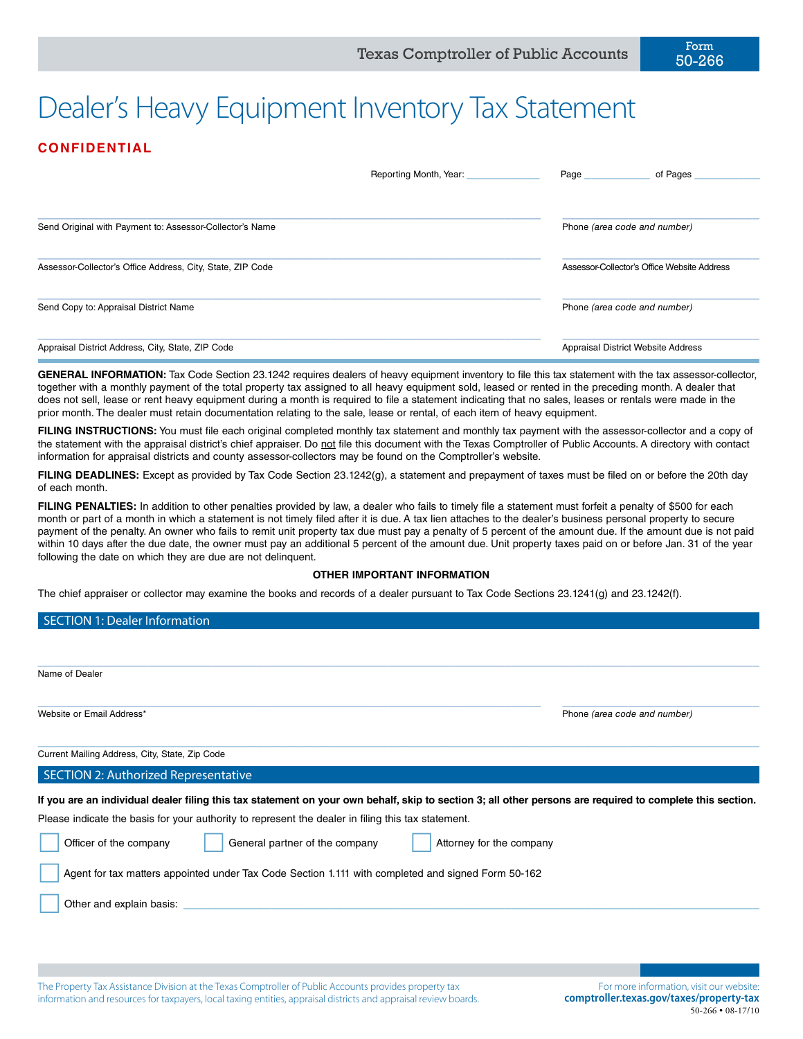# Dealer's Heavy Equipment Inventory Tax Statement

# **CONFIDENTIAL**

|                                                            | Reporting Month, Year: | Page<br>of Pages                            |
|------------------------------------------------------------|------------------------|---------------------------------------------|
| Send Original with Payment to: Assessor-Collector's Name   |                        | Phone (area code and number)                |
| Assessor-Collector's Office Address, City, State, ZIP Code |                        | Assessor-Collector's Office Website Address |
| Send Copy to: Appraisal District Name                      |                        | Phone (area code and number)                |
| Appraisal District Address, City, State, ZIP Code          |                        | Appraisal District Website Address          |

**GENERAL INFORMATION:** Tax Code Section 23.1242 requires dealers of heavy equipment inventory to file this tax statement with the tax assessor-collector, together with a monthly payment of the total property tax assigned to all heavy equipment sold, leased or rented in the preceding month. A dealer that does not sell, lease or rent heavy equipment during a month is required to file a statement indicating that no sales, leases or rentals were made in the prior month. The dealer must retain documentation relating to the sale, lease or rental, of each item of heavy equipment.

FILING INSTRUCTIONS: You must file each original completed monthly tax statement and monthly tax payment with the assessor-collector and a copy of the statement with the appraisal district's chief appraiser. Do not file this document with the Texas Comptroller of Public Accounts. A directory with contact information for appraisal districts and county assessor-collectors may be found on the Comptroller's website.

**FILING DEADLINES:** Except as provided by Tax Code Section 23.1242(g), a statement and prepayment of taxes must be filed on or before the 20th day of each month.

FILING PENALTIES: In addition to other penalties provided by law, a dealer who fails to timely file a statement must forfeit a penalty of \$500 for each month or part of a month in which a statement is not timely filed after it is due. A tax lien attaches to the dealer's business personal property to secure payment of the penalty. An owner who fails to remit unit property tax due must pay a penalty of 5 percent of the amount due. If the amount due is not paid within 10 days after the due date, the owner must pay an additional 5 percent of the amount due. Unit property taxes paid on or before Jan. 31 of the year following the date on which they are due are not delinquent.

#### **OTHER IMPORTANT INFORMATION**

The chief appraiser or collector may examine the books and records of a dealer pursuant to Tax Code Sections 23.1241(g) and 23.1242(f).

#### SECTION 1: Dealer Information

| Name of Dealer                                                                                                                                                                                                                                                                                                                                          |                              |
|---------------------------------------------------------------------------------------------------------------------------------------------------------------------------------------------------------------------------------------------------------------------------------------------------------------------------------------------------------|------------------------------|
| Website or Email Address*                                                                                                                                                                                                                                                                                                                               | Phone (area code and number) |
| Current Mailing Address, City, State, Zip Code                                                                                                                                                                                                                                                                                                          |                              |
| <b>SECTION 2: Authorized Representative</b>                                                                                                                                                                                                                                                                                                             |                              |
| If you are an individual dealer filing this tax statement on your own behalf, skip to section 3; all other persons are required to complete this section.<br>Please indicate the basis for your authority to represent the dealer in filing this tax statement.<br>General partner of the company<br>Officer of the company<br>Attorney for the company |                              |
| Agent for tax matters appointed under Tax Code Section 1.111 with completed and signed Form 50-162                                                                                                                                                                                                                                                      |                              |
| Other and explain basis:                                                                                                                                                                                                                                                                                                                                |                              |

The Property Tax Assistance Division at the Texas Comptroller of Public Accounts provides property tax information and resources for taxpayers, local taxing entities, appraisal districts and appraisal review boards.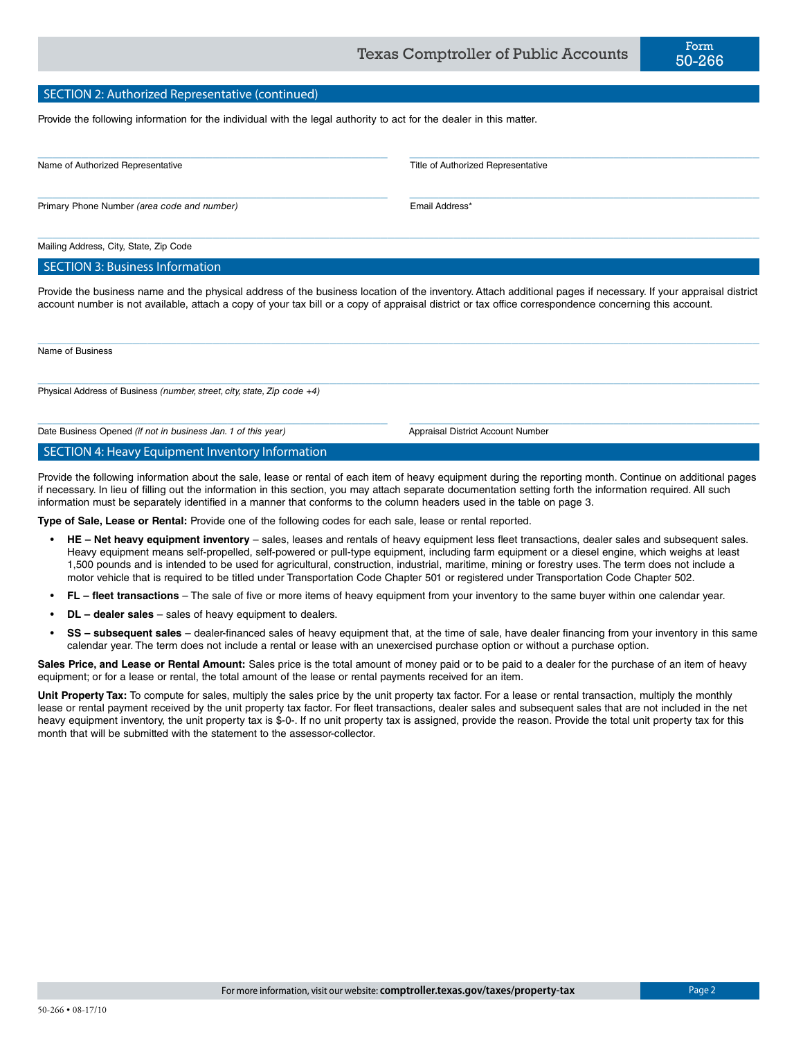#### SECTION 2: Authorized Representative (continued)

Provide the following information for the individual with the legal authority to act for the dealer in this matter.

| Name of Authorized Representative           | Title of Authorized Representative |  |
|---------------------------------------------|------------------------------------|--|
|                                             |                                    |  |
| Primary Phone Number (area code and number) | Email Address*                     |  |

 $\_$  , and the state of the state of the state of the state of the state of the state of the state of the state of the state of the state of the state of the state of the state of the state of the state of the state of the

Mailing Address, City, State, Zip Code

SECTION 3: Business Information

Provide the business name and the physical address of the business location of the inventory. Attach additional pages if necessary. If your appraisal district account number is not available, attach a copy of your tax bill or a copy of appraisal district or tax office correspondence concerning this account.

 $\_$  , and the state of the state of the state of the state of the state of the state of the state of the state of the state of the state of the state of the state of the state of the state of the state of the state of the

 $\_$  , and the set of the set of the set of the set of the set of the set of the set of the set of the set of the set of the set of the set of the set of the set of the set of the set of the set of the set of the set of th

 $\_$  , and the set of the set of the set of the set of the set of the set of the set of the set of the set of the set of the set of the set of the set of the set of the set of the set of the set of the set of the set of th

Name of Business

Physical Address of Business *(number, street, city, state, Zip code +4)*

Date Business Opened *(if not in business Jan. 1 of this year)* Appraisal District Account Number

SECTION 4: Heavy Equipment Inventory Information

Provide the following information about the sale, lease or rental of each item of heavy equipment during the reporting month. Continue on additional pages if necessary. In lieu of filling out the information in this section, you may attach separate documentation setting forth the information required. All such information must be separately identified in a manner that conforms to the column headers used in the table on page 3.

**Type of Sale, Lease or Rental:** Provide one of the following codes for each sale, lease or rental reported.

- **HE Net heavy equipment inventory** sales, leases and rentals of heavy equipment less fleet transactions, dealer sales and subsequent sales. Heavy equipment means self-propelled, self-powered or pull-type equipment, including farm equipment or a diesel engine, which weighs at least 1,500 pounds and is intended to be used for agricultural, construction, industrial, maritime, mining or forestry uses. The term does not include a motor vehicle that is required to be titled under Transportation Code Chapter 501 or registered under Transportation Code Chapter 502.
- **FL fleet transactions** The sale of five or more items of heavy equipment from your inventory to the same buyer within one calendar year.
- **DL dealer sales** sales of heavy equipment to dealers.
- **SS subsequent sales** dealer-financed sales of heavy equipment that, at the time of sale, have dealer financing from your inventory in this same calendar year. The term does not include a rental or lease with an unexercised purchase option or without a purchase option.

**Sales Price, and Lease or Rental Amount:** Sales price is the total amount of money paid or to be paid to a dealer for the purchase of an item of heavy equipment; or for a lease or rental, the total amount of the lease or rental payments received for an item.

**Unit Property Tax:** To compute for sales, multiply the sales price by the unit property tax factor. For a lease or rental transaction, multiply the monthly lease or rental payment received by the unit property tax factor. For fleet transactions, dealer sales and subsequent sales that are not included in the net heavy equipment inventory, the unit property tax is \$-0-. If no unit property tax is assigned, provide the reason. Provide the total unit property tax for this month that will be submitted with the statement to the assessor-collector.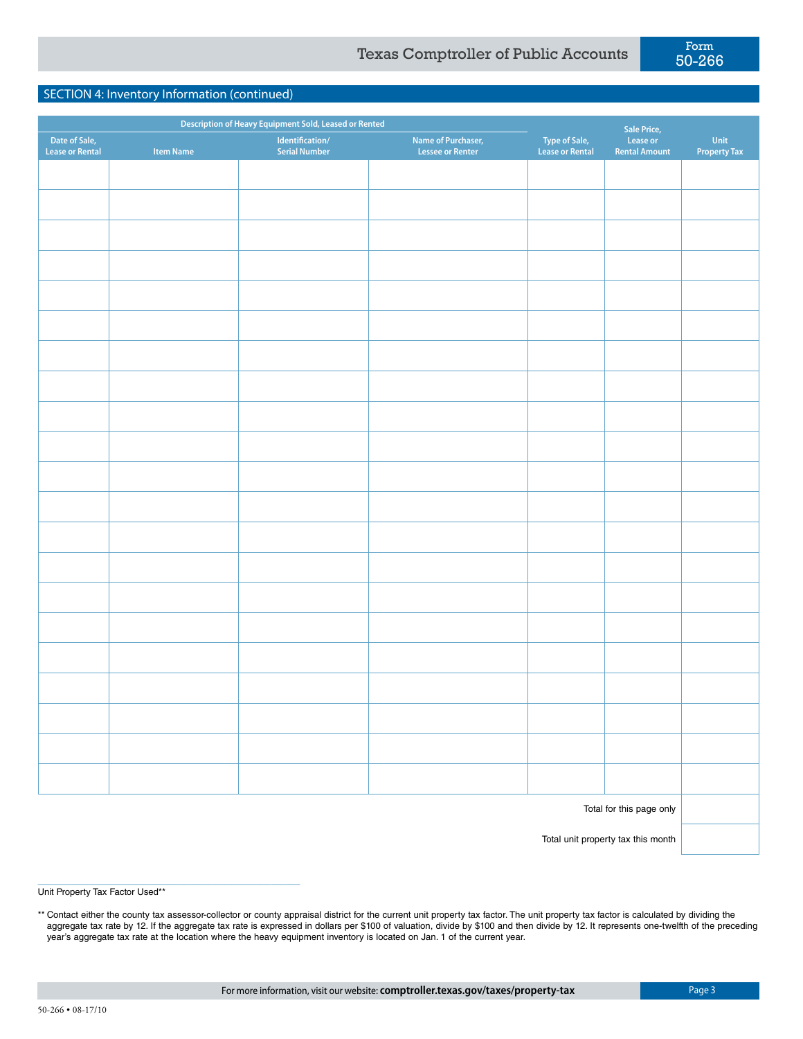## SECTION 4: Inventory Information (continued)

|                                         |                  | Description of Heavy Equipment Sold, Leased or Rented |                                               |                                         | <b>Sale Price,</b>               |                             |
|-----------------------------------------|------------------|-------------------------------------------------------|-----------------------------------------------|-----------------------------------------|----------------------------------|-----------------------------|
| Date of Sale,<br><b>Lease or Rental</b> | <b>Item Name</b> | Identification/<br><b>Serial Number</b>               | Name of Purchaser,<br><b>Lessee or Renter</b> | <b>Type of Sale,</b><br>Lease or Rental | Lease or<br><b>Rental Amount</b> | Unit<br><b>Property Tax</b> |
|                                         |                  |                                                       |                                               |                                         |                                  |                             |
|                                         |                  |                                                       |                                               |                                         |                                  |                             |
|                                         |                  |                                                       |                                               |                                         |                                  |                             |
|                                         |                  |                                                       |                                               |                                         |                                  |                             |
|                                         |                  |                                                       |                                               |                                         |                                  |                             |
|                                         |                  |                                                       |                                               |                                         |                                  |                             |
|                                         |                  |                                                       |                                               |                                         |                                  |                             |
|                                         |                  |                                                       |                                               |                                         |                                  |                             |
|                                         |                  |                                                       |                                               |                                         |                                  |                             |
|                                         |                  |                                                       |                                               |                                         |                                  |                             |
|                                         |                  |                                                       |                                               |                                         |                                  |                             |
|                                         |                  |                                                       |                                               |                                         |                                  |                             |
|                                         |                  |                                                       |                                               |                                         |                                  |                             |
|                                         |                  |                                                       |                                               |                                         |                                  |                             |
|                                         |                  |                                                       |                                               |                                         |                                  |                             |
|                                         |                  |                                                       |                                               |                                         |                                  |                             |
|                                         |                  |                                                       |                                               |                                         |                                  |                             |
|                                         |                  |                                                       |                                               |                                         |                                  |                             |
|                                         |                  |                                                       |                                               |                                         |                                  |                             |
|                                         |                  |                                                       |                                               |                                         |                                  |                             |
|                                         |                  |                                                       |                                               |                                         |                                  |                             |
|                                         |                  |                                                       |                                               |                                         |                                  |                             |
|                                         |                  |                                                       |                                               |                                         |                                  |                             |
|                                         |                  |                                                       |                                               |                                         | Total for this page only         |                             |

Total unit property tax this month

Unit Property Tax Factor Used\*\*

\_\_\_\_\_\_\_\_\_\_\_\_\_\_\_\_\_\_\_\_\_\_\_\_\_\_\_\_\_\_\_\_\_\_\_\_

\*\* Contact either the county tax assessor-collector or county appraisal district for the current unit property tax factor. The unit property tax factor is calculated by dividing the aggregate tax rate by 12. If the aggregate tax rate is expressed in dollars per \$100 of valuation, divide by \$100 and then divide by 12. It represents one-twelfth of the preceding year's aggregate tax rate at the location where the heavy equipment inventory is located on Jan. 1 of the current year.